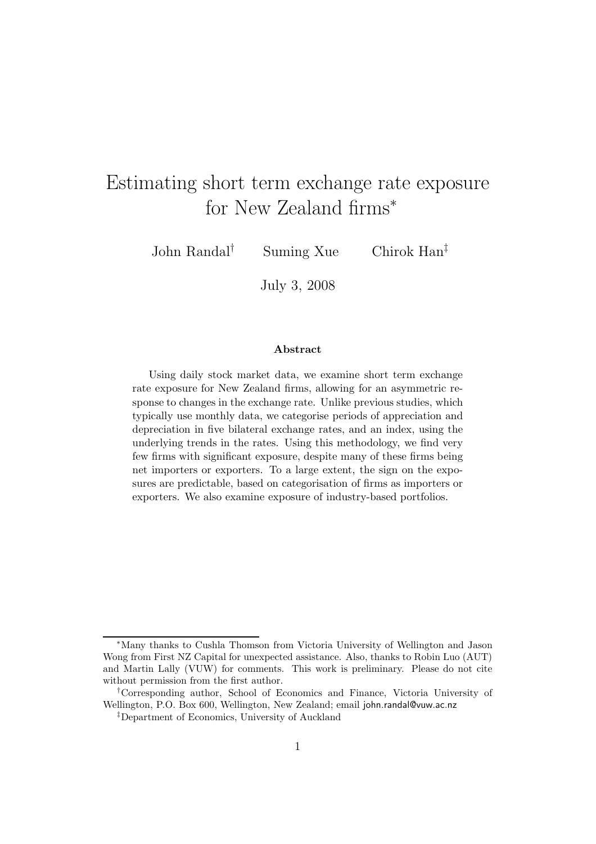# Estimating short term exchange rate exposure for New Zealand firms<sup>∗</sup>

John Randal† Suming Xue Chirok Han‡

July 3, 2008

#### Abstract

Using daily stock market data, we examine short term exchange rate exposure for New Zealand firms, allowing for an asymmetric response to changes in the exchange rate. Unlike previous studies, which typically use monthly data, we categorise periods of appreciation and depreciation in five bilateral exchange rates, and an index, using the underlying trends in the rates. Using this methodology, we find very few firms with significant exposure, despite many of these firms being net importers or exporters. To a large extent, the sign on the exposures are predictable, based on categorisation of firms as importers or exporters. We also examine exposure of industry-based portfolios.

<sup>∗</sup>Many thanks to Cushla Thomson from Victoria University of Wellington and Jason Wong from First NZ Capital for unexpected assistance. Also, thanks to Robin Luo (AUT) and Martin Lally (VUW) for comments. This work is preliminary. Please do not cite without permission from the first author.

<sup>†</sup>Corresponding author, School of Economics and Finance, Victoria University of Wellington, P.O. Box 600, Wellington, New Zealand; email john.randal@vuw.ac.nz

<sup>‡</sup>Department of Economics, University of Auckland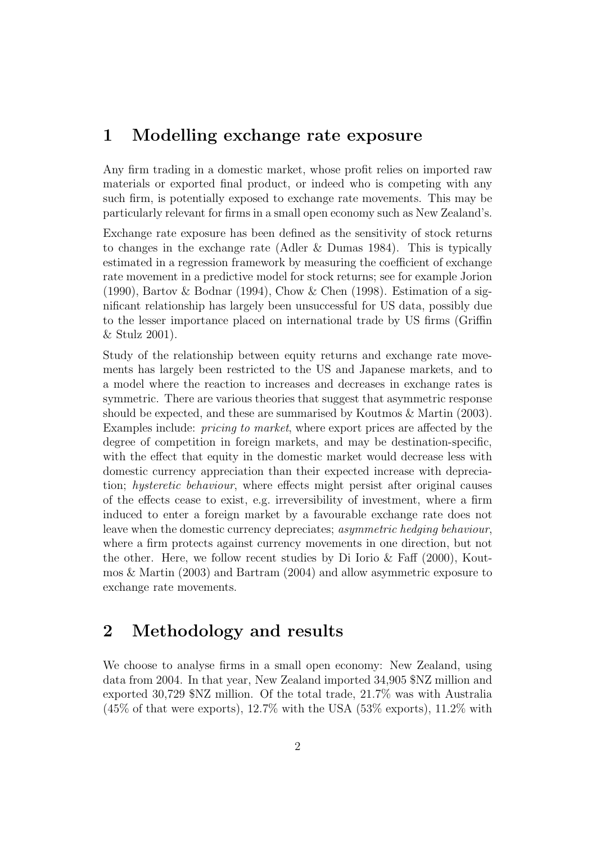### 1 Modelling exchange rate exposure

Any firm trading in a domestic market, whose profit relies on imported raw materials or exported final product, or indeed who is competing with any such firm, is potentially exposed to exchange rate movements. This may be particularly relevant for firms in a small open economy such as New Zealand's.

Exchange rate exposure has been defined as the sensitivity of stock returns to changes in the exchange rate (Adler & Dumas 1984). This is typically estimated in a regression framework by measuring the coefficient of exchange rate movement in a predictive model for stock returns; see for example Jorion (1990), Bartov & Bodnar (1994), Chow & Chen (1998). Estimation of a significant relationship has largely been unsuccessful for US data, possibly due to the lesser importance placed on international trade by US firms (Griffin & Stulz 2001).

Study of the relationship between equity returns and exchange rate movements has largely been restricted to the US and Japanese markets, and to a model where the reaction to increases and decreases in exchange rates is symmetric. There are various theories that suggest that asymmetric response should be expected, and these are summarised by Koutmos & Martin (2003). Examples include: pricing to market, where export prices are affected by the degree of competition in foreign markets, and may be destination-specific, with the effect that equity in the domestic market would decrease less with domestic currency appreciation than their expected increase with depreciation; hysteretic behaviour, where effects might persist after original causes of the effects cease to exist, e.g. irreversibility of investment, where a firm induced to enter a foreign market by a favourable exchange rate does not leave when the domestic currency depreciates; asymmetric hedging behaviour, where a firm protects against currency movements in one direction, but not the other. Here, we follow recent studies by Di Iorio & Faff (2000), Koutmos & Martin (2003) and Bartram (2004) and allow asymmetric exposure to exchange rate movements.

# 2 Methodology and results

We choose to analyse firms in a small open economy: New Zealand, using data from 2004. In that year, New Zealand imported 34,905 \$NZ million and exported 30,729 \$NZ million. Of the total trade, 21.7% was with Australia  $(45\% \text{ of that were exports}), 12.7\% \text{ with the USA } (53\% \text{ exports}), 11.2\% \text{ with}$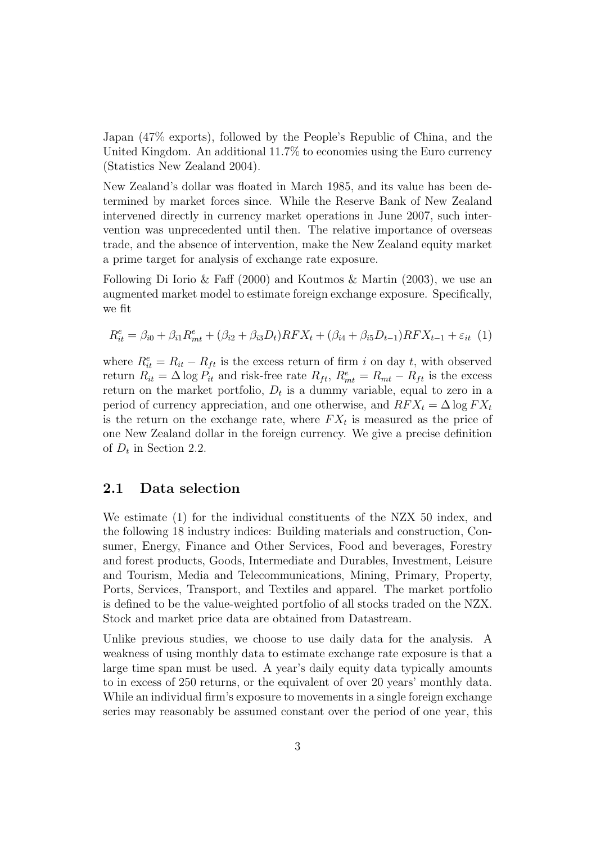Japan (47% exports), followed by the People's Republic of China, and the United Kingdom. An additional 11.7% to economies using the Euro currency (Statistics New Zealand 2004).

New Zealand's dollar was floated in March 1985, and its value has been determined by market forces since. While the Reserve Bank of New Zealand intervened directly in currency market operations in June 2007, such intervention was unprecedented until then. The relative importance of overseas trade, and the absence of intervention, make the New Zealand equity market a prime target for analysis of exchange rate exposure.

Following Di Iorio & Faff (2000) and Koutmos & Martin (2003), we use an augmented market model to estimate foreign exchange exposure. Specifically, we fit

$$
R_{it}^{e} = \beta_{i0} + \beta_{i1}R_{mt}^{e} + (\beta_{i2} + \beta_{i3}D_{t})RFX_{t} + (\beta_{i4} + \beta_{i5}D_{t-1})RFX_{t-1} + \varepsilon_{it} (1)
$$

where  $R_{it}^e = R_{it} - R_{ft}$  is the excess return of firm i on day t, with observed return  $R_{it} = \Delta \log P_{it}$  and risk-free rate  $R_{ft}$ ,  $R_{mt}^e = R_{mt} - R_{ft}$  is the excess return on the market portfolio,  $D_t$  is a dummy variable, equal to zero in a period of currency appreciation, and one otherwise, and  $RFX_t = \Delta \log FX_t$ is the return on the exchange rate, where  $FX_t$  is measured as the price of one New Zealand dollar in the foreign currency. We give a precise definition of  $D_t$  in Section 2.2.

### 2.1 Data selection

We estimate (1) for the individual constituents of the NZX 50 index, and the following 18 industry indices: Building materials and construction, Consumer, Energy, Finance and Other Services, Food and beverages, Forestry and forest products, Goods, Intermediate and Durables, Investment, Leisure and Tourism, Media and Telecommunications, Mining, Primary, Property, Ports, Services, Transport, and Textiles and apparel. The market portfolio is defined to be the value-weighted portfolio of all stocks traded on the NZX. Stock and market price data are obtained from Datastream.

Unlike previous studies, we choose to use daily data for the analysis. A weakness of using monthly data to estimate exchange rate exposure is that a large time span must be used. A year's daily equity data typically amounts to in excess of 250 returns, or the equivalent of over 20 years' monthly data. While an individual firm's exposure to movements in a single foreign exchange series may reasonably be assumed constant over the period of one year, this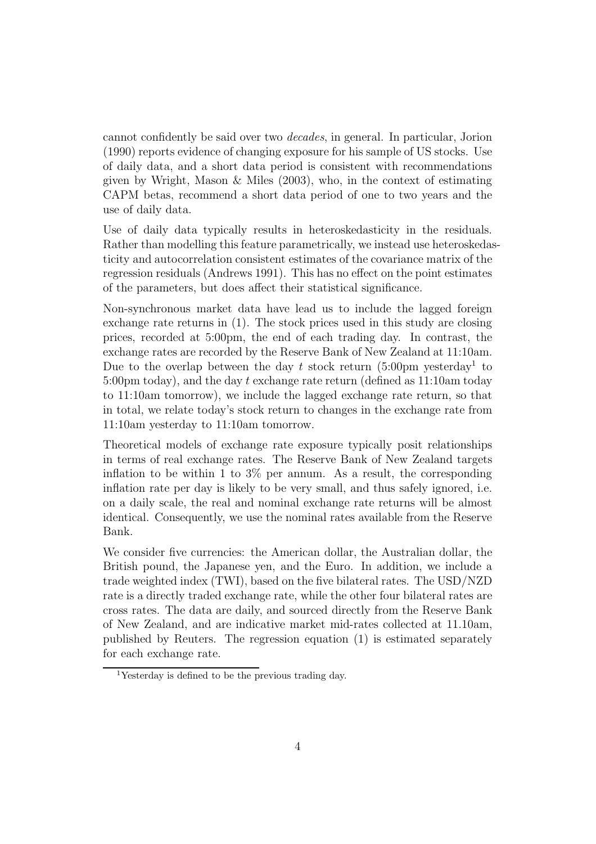cannot confidently be said over two decades, in general. In particular, Jorion (1990) reports evidence of changing exposure for his sample of US stocks. Use of daily data, and a short data period is consistent with recommendations given by Wright, Mason  $\&$  Miles (2003), who, in the context of estimating CAPM betas, recommend a short data period of one to two years and the use of daily data.

Use of daily data typically results in heteroskedasticity in the residuals. Rather than modelling this feature parametrically, we instead use heteroskedasticity and autocorrelation consistent estimates of the covariance matrix of the regression residuals (Andrews 1991). This has no effect on the point estimates of the parameters, but does affect their statistical significance.

Non-synchronous market data have lead us to include the lagged foreign exchange rate returns in (1). The stock prices used in this study are closing prices, recorded at 5:00pm, the end of each trading day. In contrast, the exchange rates are recorded by the Reserve Bank of New Zealand at 11:10am. Due to the overlap between the day  $t$  stock return  $(5:00 \text{pm}$  yesterday<sup>1</sup> to 5:00pm today), and the day t exchange rate return (defined as 11:10am today to 11:10am tomorrow), we include the lagged exchange rate return, so that in total, we relate today's stock return to changes in the exchange rate from 11:10am yesterday to 11:10am tomorrow.

Theoretical models of exchange rate exposure typically posit relationships in terms of real exchange rates. The Reserve Bank of New Zealand targets inflation to be within 1 to  $3\%$  per annum. As a result, the corresponding inflation rate per day is likely to be very small, and thus safely ignored, i.e. on a daily scale, the real and nominal exchange rate returns will be almost identical. Consequently, we use the nominal rates available from the Reserve Bank.

We consider five currencies: the American dollar, the Australian dollar, the British pound, the Japanese yen, and the Euro. In addition, we include a trade weighted index (TWI), based on the five bilateral rates. The USD/NZD rate is a directly traded exchange rate, while the other four bilateral rates are cross rates. The data are daily, and sourced directly from the Reserve Bank of New Zealand, and are indicative market mid-rates collected at 11.10am, published by Reuters. The regression equation (1) is estimated separately for each exchange rate.

<sup>1</sup>Yesterday is defined to be the previous trading day.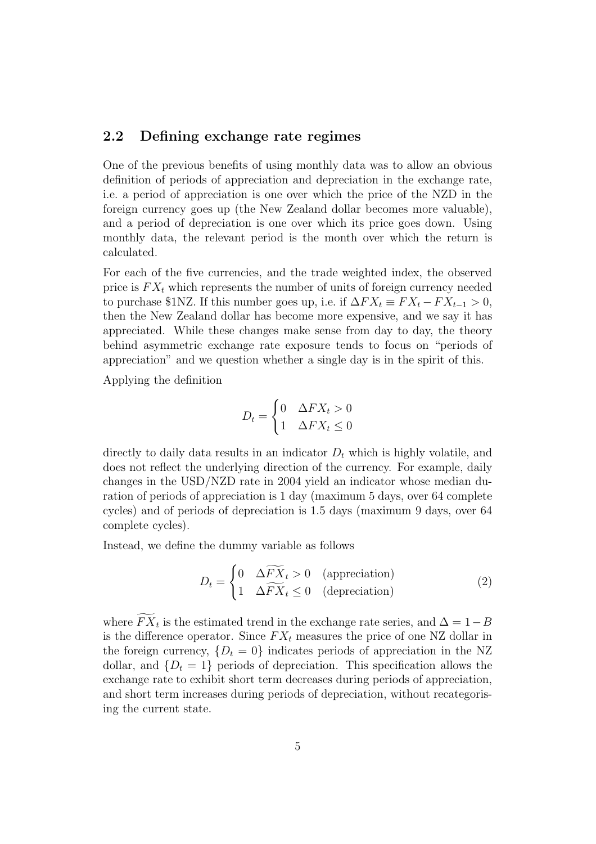### 2.2 Defining exchange rate regimes

One of the previous benefits of using monthly data was to allow an obvious definition of periods of appreciation and depreciation in the exchange rate, i.e. a period of appreciation is one over which the price of the NZD in the foreign currency goes up (the New Zealand dollar becomes more valuable), and a period of depreciation is one over which its price goes down. Using monthly data, the relevant period is the month over which the return is calculated.

For each of the five currencies, and the trade weighted index, the observed price is  $FX_t$  which represents the number of units of foreign currency needed to purchase \$1NZ. If this number goes up, i.e. if  $\Delta FX_t \equiv FX_t - FX_{t-1} > 0$ , then the New Zealand dollar has become more expensive, and we say it has appreciated. While these changes make sense from day to day, the theory behind asymmetric exchange rate exposure tends to focus on "periods of appreciation" and we question whether a single day is in the spirit of this.

Applying the definition

$$
D_t = \begin{cases} 0 & \Delta FX_t > 0 \\ 1 & \Delta FX_t \le 0 \end{cases}
$$

directly to daily data results in an indicator  $D_t$  which is highly volatile, and does not reflect the underlying direction of the currency. For example, daily changes in the USD/NZD rate in 2004 yield an indicator whose median duration of periods of appreciation is 1 day (maximum 5 days, over 64 complete cycles) and of periods of depreciation is 1.5 days (maximum 9 days, over 64 complete cycles).

Instead, we define the dummy variable as follows

$$
D_t = \begin{cases} 0 & \Delta \widetilde{FX}_t > 0 \quad \text{(approxation)}\\ 1 & \Delta \widetilde{FX}_t \le 0 \quad \text{(deprecision)} \end{cases} \tag{2}
$$

where  $FX_t$  is the estimated trend in the exchange rate series, and  $\Delta = 1 - B$ is the difference operator. Since  $FX_t$  measures the price of one NZ dollar in the foreign currency,  $\{D_t = 0\}$  indicates periods of appreciation in the NZ dollar, and  $\{D_t = 1\}$  periods of depreciation. This specification allows the exchange rate to exhibit short term decreases during periods of appreciation, and short term increases during periods of depreciation, without recategorising the current state.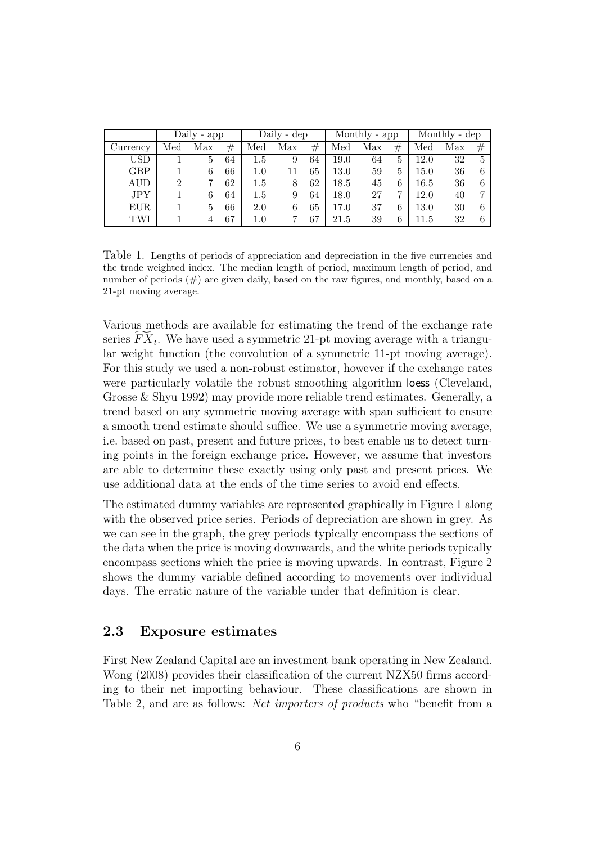|            | Daily - app |               |    | Daily - dep |     |         | Monthly - app |     |                | Monthly - dep |     |         |
|------------|-------------|---------------|----|-------------|-----|---------|---------------|-----|----------------|---------------|-----|---------|
| Currency   | Med         | Max           | #  | Med         | Max | $^{\#}$ | Med           | Max | $^{\#}$        | Med           | Max | $^{\#}$ |
| USD        |             |               | 64 | $1.5\,$     | 9   | 64      | $19.0\,$      | 64  | $\mathfrak{h}$ | 12.0          | 32  | 5       |
| <b>GBP</b> |             |               | 66 | 1.0         |     | 65      | $13.0\,$      | 59  | b.             | 15.0          | 36  |         |
| AUD        |             |               | 62 | $1.5\,$     | 8   | 62      | 18.5          | 45  |                | $16.5\,$      | 36  |         |
| <b>JPY</b> |             |               | 64 | 1.5         |     | 64      | 18.0          | 27  |                | 12.0          | 40  |         |
| EUR.       |             | $\mathcal{D}$ | 66 | 2.0         |     | 65      | 17.0          | 37  |                | 13.0          | 30  |         |
| TWI        |             |               | 67 | $1.0\,$     |     | 67      | 21.5          | 39  |                | 11.5          | 32  |         |

Table 1. Lengths of periods of appreciation and depreciation in the five currencies and the trade weighted index. The median length of period, maximum length of period, and number of periods  $(\#)$  are given daily, based on the raw figures, and monthly, based on a 21-pt moving average.

Various methods are available for estimating the trend of the exchange rate series  $FX_t$ . We have used a symmetric 21-pt moving average with a triangular weight function (the convolution of a symmetric 11-pt moving average). For this study we used a non-robust estimator, however if the exchange rates were particularly volatile the robust smoothing algorithm loess (Cleveland, Grosse & Shyu 1992) may provide more reliable trend estimates. Generally, a trend based on any symmetric moving average with span sufficient to ensure a smooth trend estimate should suffice. We use a symmetric moving average, i.e. based on past, present and future prices, to best enable us to detect turning points in the foreign exchange price. However, we assume that investors are able to determine these exactly using only past and present prices. We use additional data at the ends of the time series to avoid end effects.

The estimated dummy variables are represented graphically in Figure 1 along with the observed price series. Periods of depreciation are shown in grey. As we can see in the graph, the grey periods typically encompass the sections of the data when the price is moving downwards, and the white periods typically encompass sections which the price is moving upwards. In contrast, Figure 2 shows the dummy variable defined according to movements over individual days. The erratic nature of the variable under that definition is clear.

### 2.3 Exposure estimates

First New Zealand Capital are an investment bank operating in New Zealand. Wong (2008) provides their classification of the current NZX50 firms according to their net importing behaviour. These classifications are shown in Table 2, and are as follows: *Net importers of products* who "benefit from a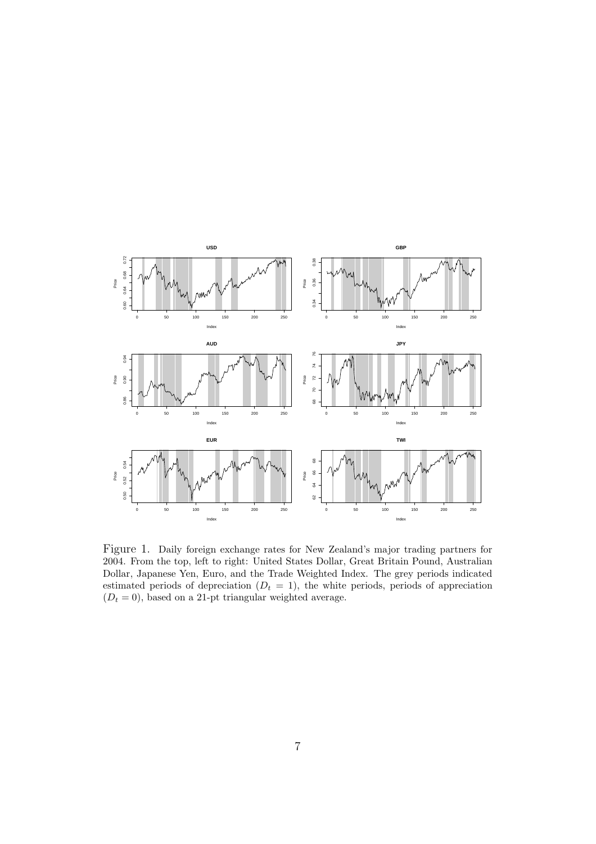

Figure 1. Daily foreign exchange rates for New Zealand's major trading partners for 2004. From the top, left to right: United States Dollar, Great Britain Pound, Australian Dollar, Japanese Yen, Euro, and the Trade Weighted Index. The grey periods indicated estimated periods of depreciation  $(D_t = 1)$ , the white periods, periods of appreciation  $(D_t = 0)$ , based on a 21-pt triangular weighted average.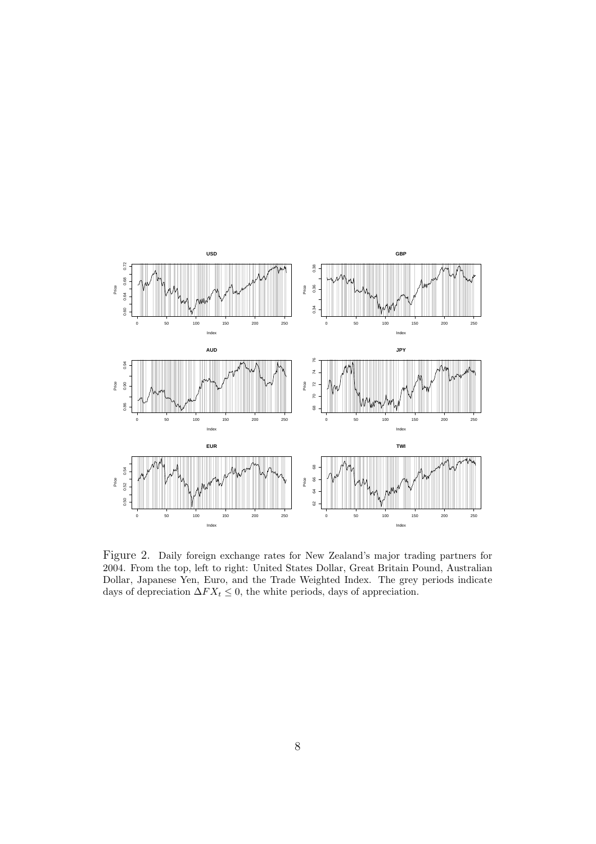

Figure 2. Daily foreign exchange rates for New Zealand's major trading partners for 2004. From the top, left to right: United States Dollar, Great Britain Pound, Australian Dollar, Japanese Yen, Euro, and the Trade Weighted Index. The grey periods indicate days of depreciation  $\Delta FX_t \leq 0$ , the white periods, days of appreciation.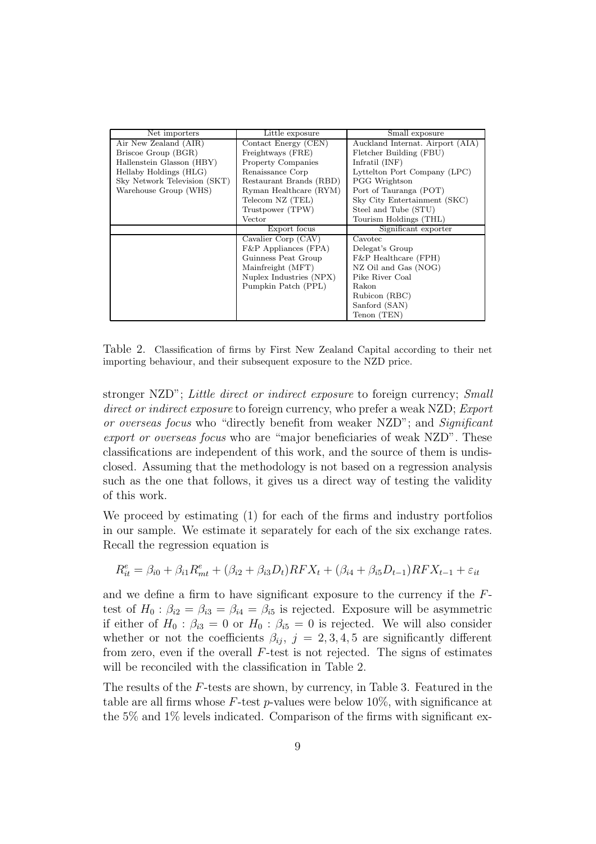| Net importers                | Little exposure           | Small exposure                   |  |  |  |  |
|------------------------------|---------------------------|----------------------------------|--|--|--|--|
| Air New Zealand (AIR)        | Contact Energy (CEN)      | Auckland Internat. Airport (AIA) |  |  |  |  |
| Briscoe Group (BGR)          | Freightways (FRE)         | Fletcher Building (FBU)          |  |  |  |  |
| Hallenstein Glasson (HBY)    | <b>Property Companies</b> | Infratil $(INF)$                 |  |  |  |  |
| Hellaby Holdings (HLG)       | Renaissance Corp          | Lyttelton Port Company (LPC)     |  |  |  |  |
| Sky Network Television (SKT) | Restaurant Brands (RBD)   | <b>PGG</b> Wrightson             |  |  |  |  |
| Warehouse Group (WHS)        | Ryman Healthcare (RYM)    | Port of Tauranga (POT)           |  |  |  |  |
|                              | Telecom NZ (TEL)          | Sky City Entertainment (SKC)     |  |  |  |  |
|                              | Trustpower (TPW)          | Steel and Tube (STU)             |  |  |  |  |
|                              | Vector                    | Tourism Holdings (THL)           |  |  |  |  |
|                              | Export focus              | Significant exporter             |  |  |  |  |
|                              | Cavalier Corp (CAV)       | Cavotec                          |  |  |  |  |
|                              | $F\&P$ Appliances (FPA)   | Delegat's Group                  |  |  |  |  |
|                              | Guinness Peat Group       | F&P Healthcare (FPH)             |  |  |  |  |
|                              | Mainfreight (MFT)         | NZ Oil and Gas (NOG)             |  |  |  |  |
|                              | Nuplex Industries (NPX)   | Pike River Coal                  |  |  |  |  |
|                              | Pumpkin Patch (PPL)       | Rakon                            |  |  |  |  |
|                              |                           | Rubicon (RBC)                    |  |  |  |  |
|                              |                           | Sanford (SAN)                    |  |  |  |  |
|                              |                           | Tenon (TEN)                      |  |  |  |  |

Table 2. Classification of firms by First New Zealand Capital according to their net importing behaviour, and their subsequent exposure to the NZD price.

stronger NZD"; Little direct or indirect exposure to foreign currency; Small direct or indirect exposure to foreign currency, who prefer a weak NZD; Export or overseas focus who "directly benefit from weaker NZD"; and Significant export or overseas focus who are "major beneficiaries of weak NZD". These classifications are independent of this work, and the source of them is undisclosed. Assuming that the methodology is not based on a regression analysis such as the one that follows, it gives us a direct way of testing the validity of this work.

We proceed by estimating (1) for each of the firms and industry portfolios in our sample. We estimate it separately for each of the six exchange rates. Recall the regression equation is

$$
R_{it}^{e} = \beta_{i0} + \beta_{i1} R_{mt}^{e} + (\beta_{i2} + \beta_{i3} D_{t}) RFX_{t} + (\beta_{i4} + \beta_{i5} D_{t-1}) RFX_{t-1} + \varepsilon_{it}
$$

and we define a firm to have significant exposure to the currency if the Ftest of  $H_0: \beta_{i2} = \beta_{i3} = \beta_{i4} = \beta_{i5}$  is rejected. Exposure will be asymmetric if either of  $H_0$ :  $\beta_{i3} = 0$  or  $H_0$ :  $\beta_{i5} = 0$  is rejected. We will also consider whether or not the coefficients  $\beta_{ij}$ ,  $j = 2, 3, 4, 5$  are significantly different from zero, even if the overall  $F$ -test is not rejected. The signs of estimates will be reconciled with the classification in Table 2.

The results of the F-tests are shown, by currency, in Table 3. Featured in the table are all firms whose  $F$ -test p-values were below 10%, with significance at the 5% and 1% levels indicated. Comparison of the firms with significant ex-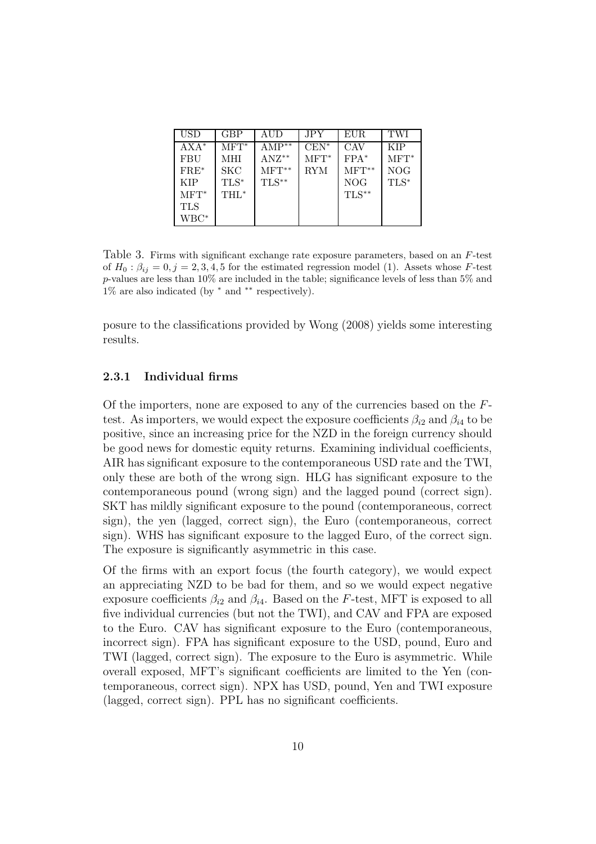| USD          | <b>GBP</b> | AUD        | <b>JPY</b> | EUR.    | TWI     |
|--------------|------------|------------|------------|---------|---------|
| $AXA*$       | $MFT^*$    | $AMP^{**}$ | $CEN^*$    | CAV     | KIP     |
| <b>FBU</b>   | MHI        | $ANZ^{**}$ | $MFT^*$    | $FPA*$  | $MFT^*$ |
| $FRE^*$      | SKC        | $MFT**$    | <b>RYM</b> | $MFT**$ | NOG     |
| <b>KIP</b>   | $TLS^*$    | $TLS**$    |            | NOG     | $TLS*$  |
| $MFT^*$      | THL*       |            |            | $TLS**$ |         |
| TLS          |            |            |            |         |         |
| $\rm{WBC}^*$ |            |            |            |         |         |

Table 3. Firms with significant exchange rate exposure parameters, based on an F-test of  $H_0: \beta_{ij} = 0, j = 2, 3, 4, 5$  for the estimated regression model (1). Assets whose F-test p-values are less than 10% are included in the table; significance levels of less than 5% and 1% are also indicated (by <sup>∗</sup> and ∗∗ respectively).

posure to the classifications provided by Wong (2008) yields some interesting results.

#### 2.3.1 Individual firms

Of the importers, none are exposed to any of the currencies based on the  $F$ test. As importers, we would expect the exposure coefficients  $\beta_{i2}$  and  $\beta_{i4}$  to be positive, since an increasing price for the NZD in the foreign currency should be good news for domestic equity returns. Examining individual coefficients, AIR has significant exposure to the contemporaneous USD rate and the TWI, only these are both of the wrong sign. HLG has significant exposure to the contemporaneous pound (wrong sign) and the lagged pound (correct sign). SKT has mildly significant exposure to the pound (contemporaneous, correct sign), the yen (lagged, correct sign), the Euro (contemporaneous, correct sign). WHS has significant exposure to the lagged Euro, of the correct sign. The exposure is significantly asymmetric in this case.

Of the firms with an export focus (the fourth category), we would expect an appreciating NZD to be bad for them, and so we would expect negative exposure coefficients  $\beta_{i2}$  and  $\beta_{i4}$ . Based on the F-test, MFT is exposed to all five individual currencies (but not the TWI), and CAV and FPA are exposed to the Euro. CAV has significant exposure to the Euro (contemporaneous, incorrect sign). FPA has significant exposure to the USD, pound, Euro and TWI (lagged, correct sign). The exposure to the Euro is asymmetric. While overall exposed, MFT's significant coefficients are limited to the Yen (contemporaneous, correct sign). NPX has USD, pound, Yen and TWI exposure (lagged, correct sign). PPL has no significant coefficients.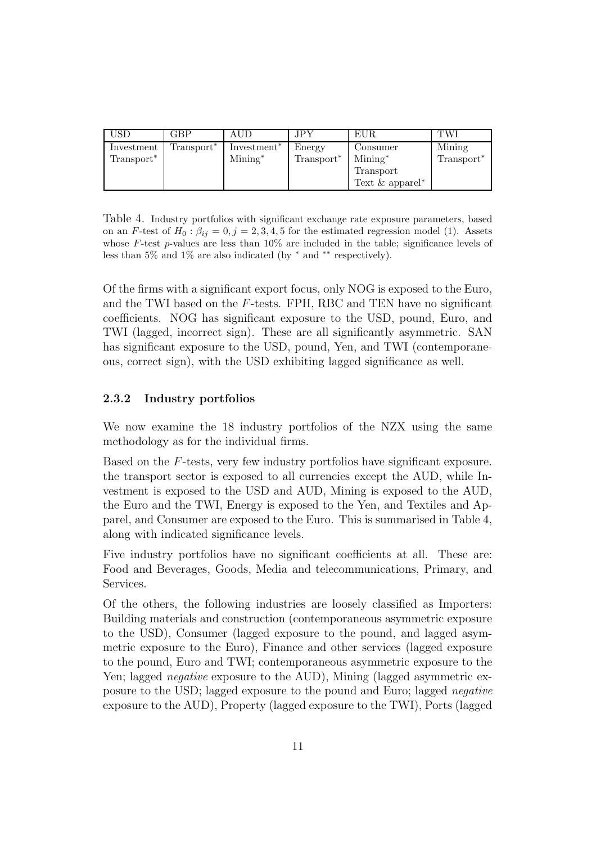| USD                    | <b>GBP</b>             | AUD                     | JPY.                   | <b>EUR</b>         | TWI                    |
|------------------------|------------------------|-------------------------|------------------------|--------------------|------------------------|
| Investment             | Transport <sup>*</sup> | Investment <sup>*</sup> | Energy                 | Consumer           | Mining                 |
| Transport <sup>*</sup> |                        | $Mining^*$              | Transport <sup>*</sup> | $Mining^*$         | Transport <sup>*</sup> |
|                        |                        |                         |                        | Transport          |                        |
|                        |                        |                         |                        | Text $\&$ apparel* |                        |

Table 4. Industry portfolios with significant exchange rate exposure parameters, based on an F-test of  $H_0$ :  $\beta_{ij} = 0, j = 2, 3, 4, 5$  for the estimated regression model (1). Assets whose F-test p-values are less than  $10\%$  are included in the table; significance levels of less than 5% and 1% are also indicated (by <sup>∗</sup> and ∗∗ respectively).

Of the firms with a significant export focus, only NOG is exposed to the Euro, and the TWI based on the F-tests. FPH, RBC and TEN have no significant coefficients. NOG has significant exposure to the USD, pound, Euro, and TWI (lagged, incorrect sign). These are all significantly asymmetric. SAN has significant exposure to the USD, pound, Yen, and TWI (contemporaneous, correct sign), with the USD exhibiting lagged significance as well.

#### 2.3.2 Industry portfolios

We now examine the 18 industry portfolios of the NZX using the same methodology as for the individual firms.

Based on the F-tests, very few industry portfolios have significant exposure. the transport sector is exposed to all currencies except the AUD, while Investment is exposed to the USD and AUD, Mining is exposed to the AUD, the Euro and the TWI, Energy is exposed to the Yen, and Textiles and Apparel, and Consumer are exposed to the Euro. This is summarised in Table 4, along with indicated significance levels.

Five industry portfolios have no significant coefficients at all. These are: Food and Beverages, Goods, Media and telecommunications, Primary, and Services.

Of the others, the following industries are loosely classified as Importers: Building materials and construction (contemporaneous asymmetric exposure to the USD), Consumer (lagged exposure to the pound, and lagged asymmetric exposure to the Euro), Finance and other services (lagged exposure to the pound, Euro and TWI; contemporaneous asymmetric exposure to the Yen; lagged negative exposure to the AUD), Mining (lagged asymmetric exposure to the USD; lagged exposure to the pound and Euro; lagged negative exposure to the AUD), Property (lagged exposure to the TWI), Ports (lagged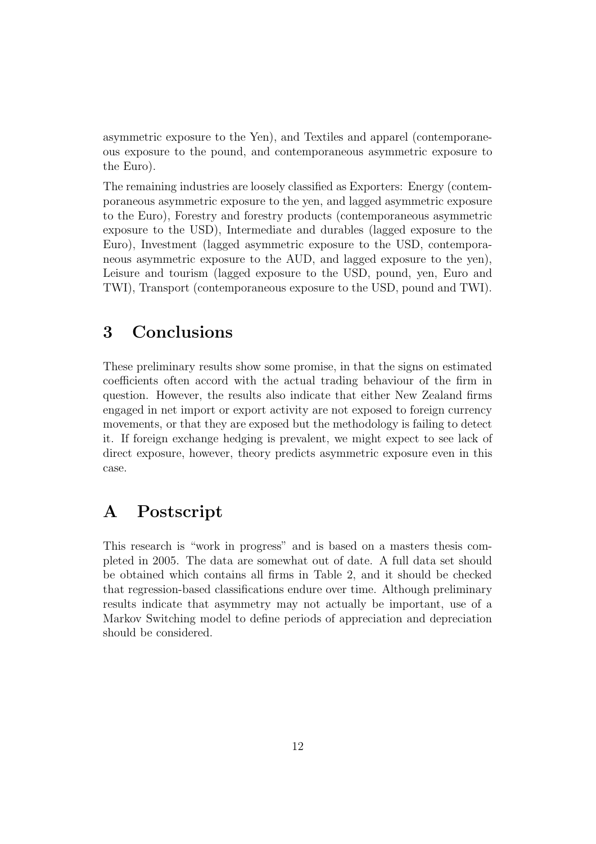asymmetric exposure to the Yen), and Textiles and apparel (contemporaneous exposure to the pound, and contemporaneous asymmetric exposure to the Euro).

The remaining industries are loosely classified as Exporters: Energy (contemporaneous asymmetric exposure to the yen, and lagged asymmetric exposure to the Euro), Forestry and forestry products (contemporaneous asymmetric exposure to the USD), Intermediate and durables (lagged exposure to the Euro), Investment (lagged asymmetric exposure to the USD, contemporaneous asymmetric exposure to the AUD, and lagged exposure to the yen), Leisure and tourism (lagged exposure to the USD, pound, yen, Euro and TWI), Transport (contemporaneous exposure to the USD, pound and TWI).

# 3 Conclusions

These preliminary results show some promise, in that the signs on estimated coefficients often accord with the actual trading behaviour of the firm in question. However, the results also indicate that either New Zealand firms engaged in net import or export activity are not exposed to foreign currency movements, or that they are exposed but the methodology is failing to detect it. If foreign exchange hedging is prevalent, we might expect to see lack of direct exposure, however, theory predicts asymmetric exposure even in this case.

### A Postscript

This research is "work in progress" and is based on a masters thesis completed in 2005. The data are somewhat out of date. A full data set should be obtained which contains all firms in Table 2, and it should be checked that regression-based classifications endure over time. Although preliminary results indicate that asymmetry may not actually be important, use of a Markov Switching model to define periods of appreciation and depreciation should be considered.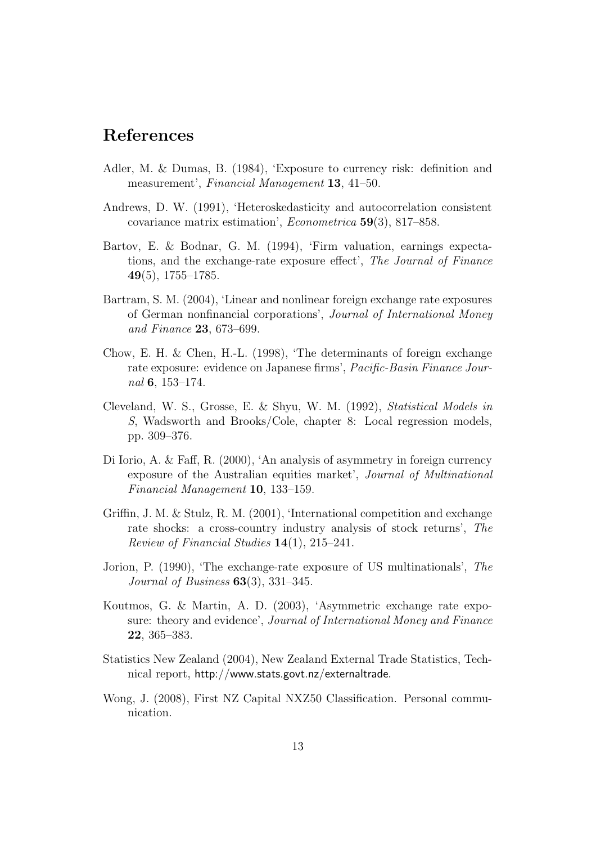# References

- Adler, M. & Dumas, B. (1984), 'Exposure to currency risk: definition and measurement', Financial Management 13, 41–50.
- Andrews, D. W. (1991), 'Heteroskedasticity and autocorrelation consistent covariance matrix estimation', Econometrica 59(3), 817–858.
- Bartov, E. & Bodnar, G. M. (1994), 'Firm valuation, earnings expectations, and the exchange-rate exposure effect', The Journal of Finance  $49(5)$ , 1755–1785.
- Bartram, S. M. (2004), 'Linear and nonlinear foreign exchange rate exposures of German nonfinancial corporations', Journal of International Money and Finance 23, 673–699.
- Chow, E. H. & Chen, H.-L. (1998), 'The determinants of foreign exchange rate exposure: evidence on Japanese firms', Pacific-Basin Finance Journal 6, 153–174.
- Cleveland, W. S., Grosse, E. & Shyu, W. M. (1992), Statistical Models in S, Wadsworth and Brooks/Cole, chapter 8: Local regression models, pp. 309–376.
- Di Iorio, A. & Faff, R. (2000), 'An analysis of asymmetry in foreign currency exposure of the Australian equities market', Journal of Multinational Financial Management 10, 133–159.
- Griffin, J. M. & Stulz, R. M. (2001), 'International competition and exchange rate shocks: a cross-country industry analysis of stock returns', The Review of Financial Studies 14(1), 215–241.
- Jorion, P. (1990), 'The exchange-rate exposure of US multinationals', The Journal of Business  $63(3)$ ,  $331-345$ .
- Koutmos, G. & Martin, A. D. (2003), 'Asymmetric exchange rate exposure: theory and evidence', Journal of International Money and Finance 22, 365–383.
- Statistics New Zealand (2004), New Zealand External Trade Statistics, Technical report, http://www.stats.govt.nz/externaltrade.
- Wong, J. (2008), First NZ Capital NXZ50 Classification. Personal communication.